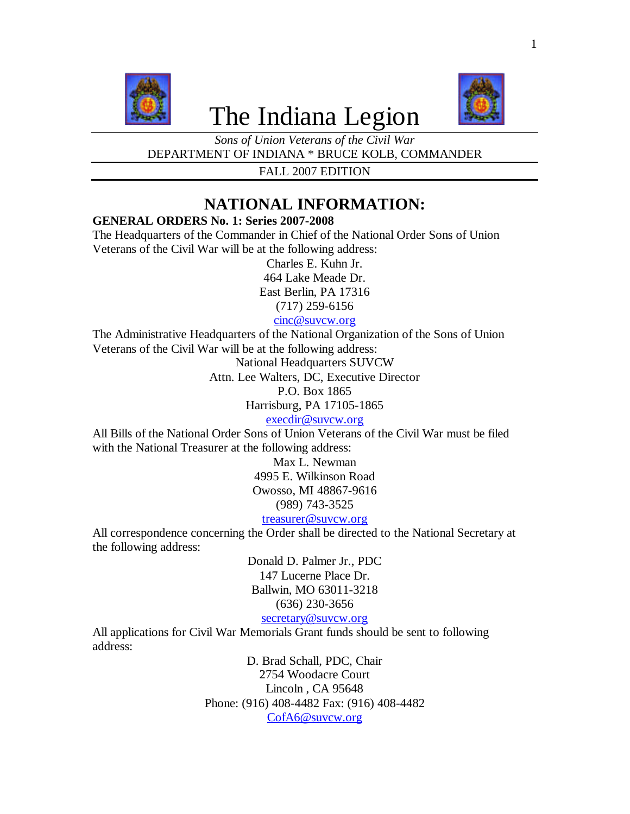

# The Indiana Legion



*Sons of Union Veterans of the Civil War* DEPARTMENT OF INDIANA \* BRUCE KOLB, COMMANDER

FALL 2007 EDITION

# **NATIONAL INFORMATION:**

# **GENERAL ORDERS No. 1: Series 2007-2008**

The Headquarters of the Commander in Chief of the National Order Sons of Union Veterans of the Civil War will be at the following address:

Charles E. Kuhn Jr. 464 Lake Meade Dr. East Berlin, PA 17316

(717) 259-6156

# cinc@suvcw.org

The Administrative Headquarters of the National Organization of the Sons of Union Veterans of the Civil War will be at the following address:

National Headquarters SUVCW

Attn. Lee Walters, DC, Executive Director

P.O. Box 1865

Harrisburg, PA 17105-1865

execdir@suvcw.org

All Bills of the National Order Sons of Union Veterans of the Civil War must be filed with the National Treasurer at the following address:

> Max L. Newman 4995 E. Wilkinson Road Owosso, MI 48867-9616 (989) 743-3525 treasurer@suvcw.org

All correspondence concerning the Order shall be directed to the National Secretary at the following address:

> Donald D. Palmer Jr., PDC 147 Lucerne Place Dr. Ballwin, MO 63011-3218 (636) 230-3656 secretary@suvcw.org

All applications for Civil War Memorials Grant funds should be sent to following address:

> D. Brad Schall, PDC, Chair 2754 Woodacre Court Lincoln , CA 95648 Phone: (916) 408-4482 Fax: (916) 408-4482 CofA6@suvcw.org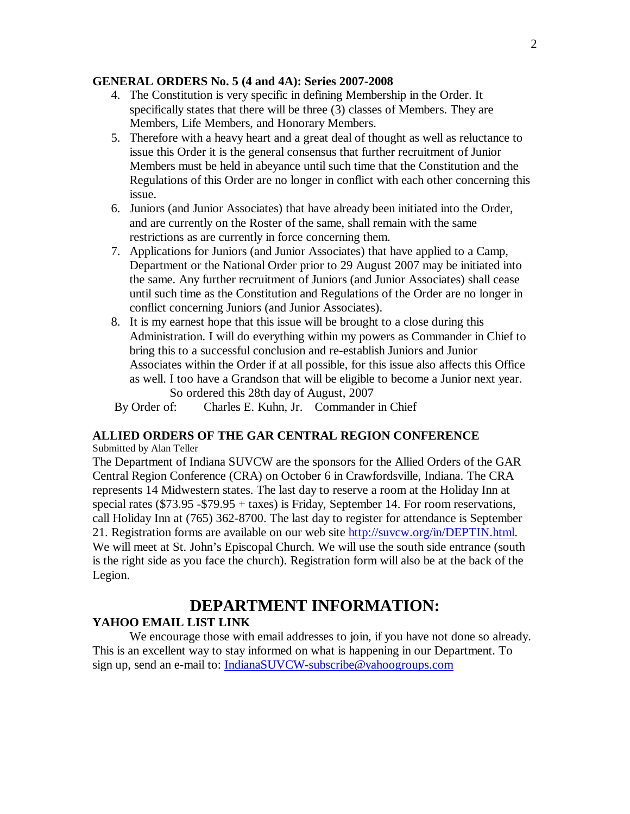#### **GENERAL ORDERS No. 5 (4 and 4A): Series 2007-2008**

- 4. The Constitution is very specific in defining Membership in the Order. It specifically states that there will be three (3) classes of Members. They are Members, Life Members, and Honorary Members.
- 5. Therefore with a heavy heart and a great deal of thought as well as reluctance to issue this Order it is the general consensus that further recruitment of Junior Members must be held in abeyance until such time that the Constitution and the Regulations of this Order are no longer in conflict with each other concerning this issue.
- 6. Juniors (and Junior Associates) that have already been initiated into the Order, and are currently on the Roster of the same, shall remain with the same restrictions as are currently in force concerning them.
- 7. Applications for Juniors (and Junior Associates) that have applied to a Camp, Department or the National Order prior to 29 August 2007 may be initiated into the same. Any further recruitment of Juniors (and Junior Associates) shall cease until such time as the Constitution and Regulations of the Order are no longer in conflict concerning Juniors (and Junior Associates).
- 8. It is my earnest hope that this issue will be brought to a close during this Administration. I will do everything within my powers as Commander in Chief to bring this to a successful conclusion and re-establish Juniors and Junior Associates within the Order if at all possible, for this issue also affects this Office as well. I too have a Grandson that will be eligible to become a Junior next year. So ordered this 28th day of August, 2007

By Order of: Charles E. Kuhn, Jr. Commander in Chief

# **ALLIED ORDERS OF THE GAR CENTRAL REGION CONFERENCE**

Submitted by Alan Teller

The Department of Indiana SUVCW are the sponsors for the Allied Orders of the GAR Central Region Conference (CRA) on October 6 in Crawfordsville, Indiana. The CRA represents 14 Midwestern states. The last day to reserve a room at the Holiday Inn at special rates (\$73.95 -\$79.95 + taxes) is Friday, September 14. For room reservations, call Holiday Inn at (765) 362-8700. The last day to register for attendance is September 21. Registration forms are available on our web site http://suvcw.org/in/DEPTIN.html. We will meet at St. John's Episcopal Church. We will use the south side entrance (south is the right side as you face the church). Registration form will also be at the back of the Legion.

# **DEPARTMENT INFORMATION:**

## **YAHOO EMAIL LIST LINK**

We encourage those with email addresses to join, if you have not done so already. This is an excellent way to stay informed on what is happening in our Department. To sign up, send an e-mail to: IndianaSUVCW-subscribe@yahoogroups.com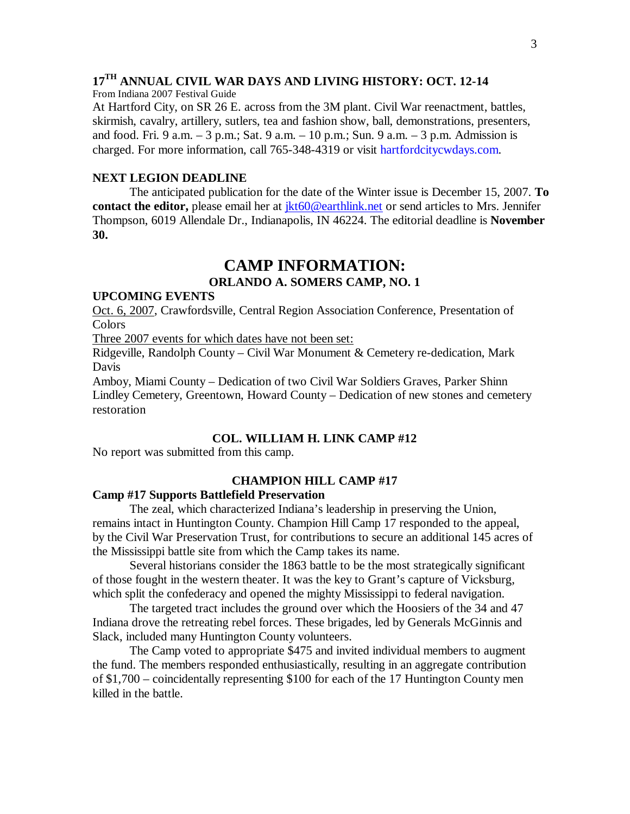# **17TH ANNUAL CIVIL WAR DAYS AND LIVING HISTORY: OCT. 12-14**

From Indiana 2007 Festival Guide

At Hartford City, on SR 26 E. across from the 3M plant. Civil War reenactment, battles, skirmish, cavalry, artillery, sutlers, tea and fashion show, ball, demonstrations, presenters, and food. Fri. 9 a.m. – 3 p.m.; Sat. 9 a.m. – 10 p.m.; Sun. 9 a.m. – 3 p.m. Admission is charged. For more information, call 765-348-4319 or visit hartfordcitycwdays.com.

#### **NEXT LEGION DEADLINE**

The anticipated publication for the date of the Winter issue is December 15, 2007. **To contact the editor,** please email her at  $\frac{ikt60@earthlink.net}$  or send articles to Mrs. Jennifer Thompson, 6019 Allendale Dr., Indianapolis, IN 46224. The editorial deadline is **November 30.**

# **CAMP INFORMATION:**

## **ORLANDO A. SOMERS CAMP, NO. 1**

#### **UPCOMING EVENTS**

Oct. 6, 2007, Crawfordsville, Central Region Association Conference, Presentation of Colors

Three 2007 events for which dates have not been set:

Ridgeville, Randolph County – Civil War Monument & Cemetery re-dedication, Mark Davis

Amboy, Miami County – Dedication of two Civil War Soldiers Graves, Parker Shinn Lindley Cemetery, Greentown, Howard County – Dedication of new stones and cemetery restoration

#### **COL. WILLIAM H. LINK CAMP #12**

No report was submitted from this camp.

## **CHAMPION HILL CAMP #17**

#### **Camp #17 Supports Battlefield Preservation**

The zeal, which characterized Indiana's leadership in preserving the Union, remains intact in Huntington County. Champion Hill Camp 17 responded to the appeal, by the Civil War Preservation Trust, for contributions to secure an additional 145 acres of the Mississippi battle site from which the Camp takes its name.

Several historians consider the 1863 battle to be the most strategically significant of those fought in the western theater. It was the key to Grant's capture of Vicksburg, which split the confederacy and opened the mighty Mississippi to federal navigation.

The targeted tract includes the ground over which the Hoosiers of the 34 and 47 Indiana drove the retreating rebel forces. These brigades, led by Generals McGinnis and Slack, included many Huntington County volunteers.

The Camp voted to appropriate \$475 and invited individual members to augment the fund. The members responded enthusiastically, resulting in an aggregate contribution of \$1,700 – coincidentally representing \$100 for each of the 17 Huntington County men killed in the battle.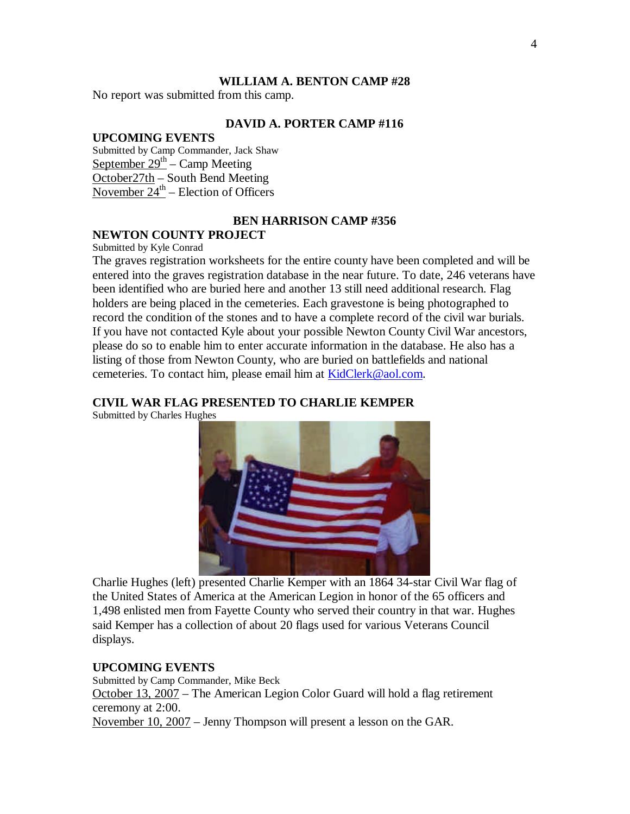#### **WILLIAM A. BENTON CAMP #28**

No report was submitted from this camp.

## **DAVID A. PORTER CAMP #116**

# **UPCOMING EVENTS**

Submitted by Camp Commander, Jack Shaw September  $29<sup>th</sup>$  – Camp Meeting October27th – South Bend Meeting November  $24^{\text{th}}$  – Election of Officers

## **BEN HARRISON CAMP #356**

## **NEWTON COUNTY PROJECT**

Submitted by Kyle Conrad

The graves registration worksheets for the entire county have been completed and will be entered into the graves registration database in the near future. To date, 246 veterans have been identified who are buried here and another 13 still need additional research. Flag holders are being placed in the cemeteries. Each gravestone is being photographed to record the condition of the stones and to have a complete record of the civil war burials. If you have not contacted Kyle about your possible Newton County Civil War ancestors, please do so to enable him to enter accurate information in the database. He also has a listing of those from Newton County, who are buried on battlefields and national cemeteries. To contact him, please email him at KidClerk@aol.com.

## **CIVIL WAR FLAG PRESENTED TO CHARLIE KEMPER**

Submitted by Charles Hughes



Charlie Hughes (left) presented Charlie Kemper with an 1864 34-star Civil War flag of the United States of America at the American Legion in honor of the 65 officers and 1,498 enlisted men from Fayette County who served their country in that war. Hughes said Kemper has a collection of about 20 flags used for various Veterans Council displays.

#### **UPCOMING EVENTS**

Submitted by Camp Commander, Mike Beck October 13, 2007 – The American Legion Color Guard will hold a flag retirement ceremony at 2:00. November 10, 2007 – Jenny Thompson will present a lesson on the GAR.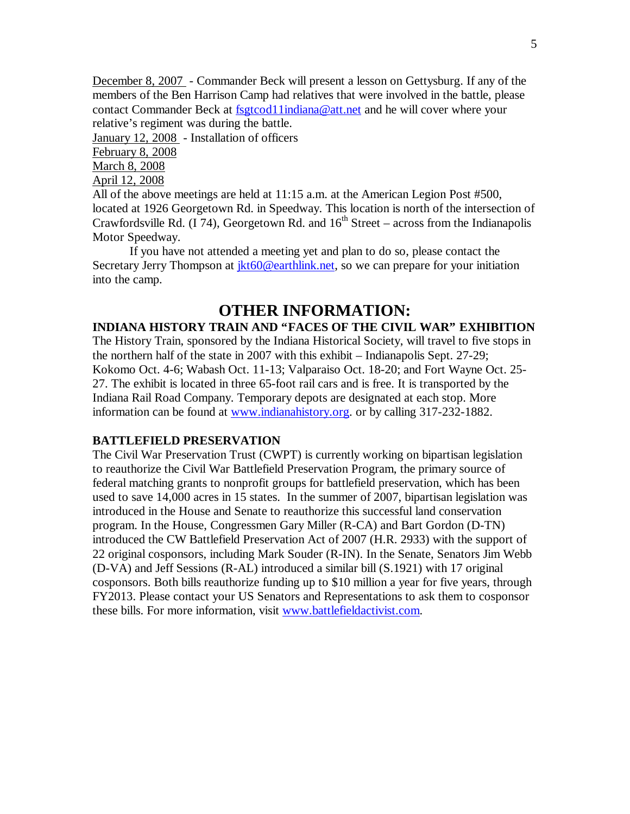December 8, 2007 - Commander Beck will present a lesson on Gettysburg. If any of the members of the Ben Harrison Camp had relatives that were involved in the battle, please contact Commander Beck at fsgtcod11indiana@att.net and he will cover where your relative's regiment was during the battle.

January 12, 2008 - Installation of officers February 8, 2008

March 8, 2008

April 12, 2008

All of the above meetings are held at 11:15 a.m. at the American Legion Post #500, located at 1926 Georgetown Rd. in Speedway. This location is north of the intersection of Crawfordsville Rd. (I 74), Georgetown Rd. and  $16<sup>th</sup>$  Street – across from the Indianapolis Motor Speedway.

If you have not attended a meeting yet and plan to do so, please contact the Secretary Jerry Thompson at  $ikt60@earthlink.net$ , so we can prepare for your initiation into the camp.

# **OTHER INFORMATION:**

# **INDIANA HISTORY TRAIN AND "FACES OF THE CIVIL WAR" EXHIBITION**

The History Train, sponsored by the Indiana Historical Society, will travel to five stops in the northern half of the state in 2007 with this exhibit – Indianapolis Sept. 27-29; Kokomo Oct. 4-6; Wabash Oct. 11-13; Valparaiso Oct. 18-20; and Fort Wayne Oct. 25- 27. The exhibit is located in three 65-foot rail cars and is free. It is transported by the Indiana Rail Road Company. Temporary depots are designated at each stop. More information can be found at www.indianahistory.org. or by calling 317-232-1882.

## **BATTLEFIELD PRESERVATION**

The Civil War Preservation Trust (CWPT) is currently working on bipartisan legislation to reauthorize the Civil War Battlefield Preservation Program, the primary source of federal matching grants to nonprofit groups for battlefield preservation, which has been used to save 14,000 acres in 15 states. In the summer of 2007, bipartisan legislation was introduced in the House and Senate to reauthorize this successful land conservation program. In the House, Congressmen Gary Miller (R-CA) and Bart Gordon (D-TN) introduced the CW Battlefield Preservation Act of 2007 (H.R. 2933) with the support of 22 original cosponsors, including Mark Souder (R-IN). In the Senate, Senators Jim Webb (D-VA) and Jeff Sessions (R-AL) introduced a similar bill (S.1921) with 17 original cosponsors. Both bills reauthorize funding up to \$10 million a year for five years, through FY2013. Please contact your US Senators and Representations to ask them to cosponsor these bills. For more information, visit www.battlefieldactivist.com.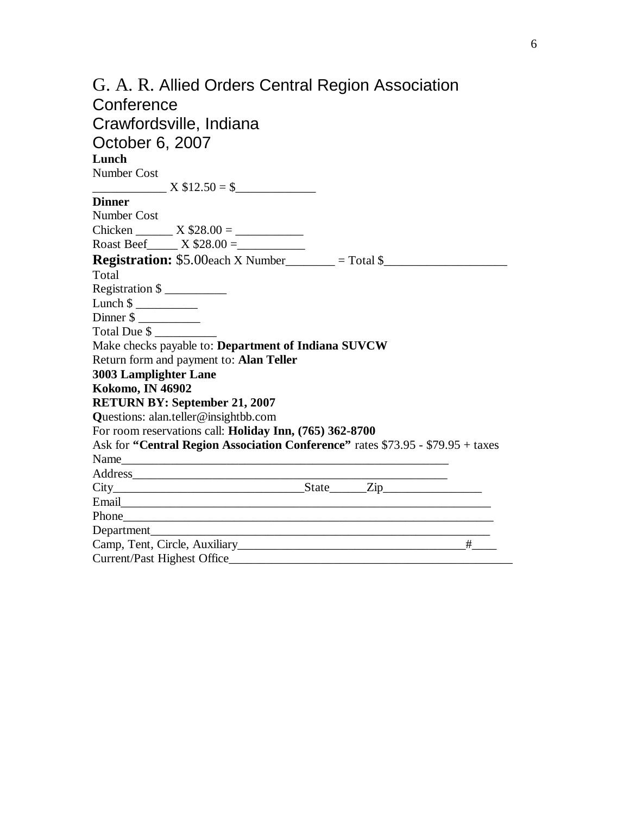| G. A. R. Allied Orders Central Region Association                               |
|---------------------------------------------------------------------------------|
| Conference                                                                      |
| Crawfordsville, Indiana                                                         |
|                                                                                 |
| October 6, 2007                                                                 |
| Lunch                                                                           |
| Number Cost                                                                     |
| $X $12.50 = $$                                                                  |
| <b>Dinner</b>                                                                   |
| Number Cost                                                                     |
|                                                                                 |
| Roast Beef X $$28.00 =$                                                         |
| <b>Registration:</b> \$5.00each X Number_______ = Total $\frac{1}{2}$           |
| Total                                                                           |
| Registration $\frac{1}{2}$                                                      |
| Lunch $\frac{1}{2}$                                                             |
| Dinner \$                                                                       |
| Total Due $\frac{1}{2}$                                                         |
| Make checks payable to: Department of Indiana SUVCW                             |
| Return form and payment to: Alan Teller                                         |
| <b>3003 Lamplighter Lane</b>                                                    |
| <b>Kokomo, IN 46902</b>                                                         |
| <b>RETURN BY: September 21, 2007</b>                                            |
| Questions: alan.teller@insightbb.com                                            |
| For room reservations call: Holiday Inn, (765) 362-8700                         |
| Ask for "Central Region Association Conference" rates \$73.95 - \$79.95 + taxes |
|                                                                                 |
| Address                                                                         |
| $City$ $City$ $State$ $Zip$                                                     |
|                                                                                 |
|                                                                                 |
|                                                                                 |
|                                                                                 |
| <b>Current/Past Highest Office</b>                                              |